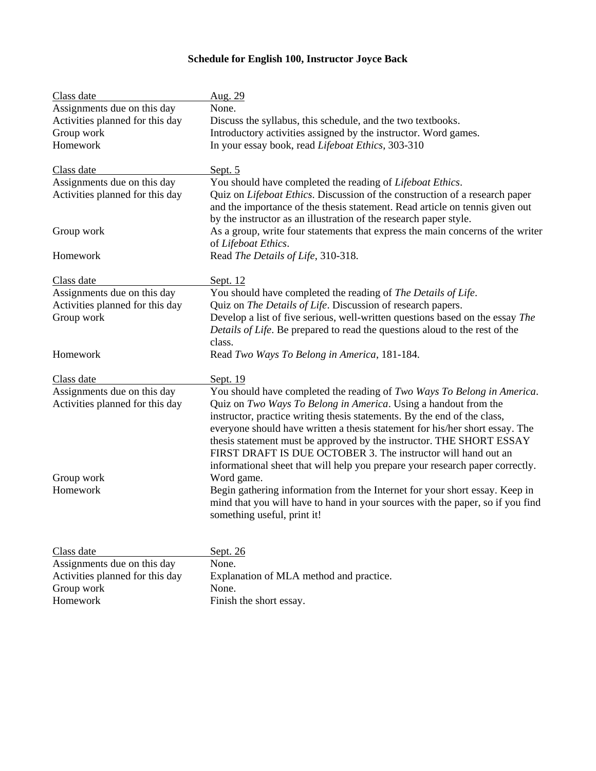## **Schedule for English 100, Instructor Joyce Back**

| None.<br>Assignments due on this day<br>Activities planned for this day<br>Discuss the syllabus, this schedule, and the two textbooks.<br>Introductory activities assigned by the instructor. Word games.<br>Group work<br>Homework<br>In your essay book, read Lifeboat Ethics, 303-310<br>Class date<br>Sept. 5<br>Assignments due on this day<br>You should have completed the reading of Lifeboat Ethics.<br>Quiz on Lifeboat Ethics. Discussion of the construction of a research paper<br>Activities planned for this day<br>and the importance of the thesis statement. Read article on tennis given out<br>by the instructor as an illustration of the research paper style. | Class date | Aug. 29                                                                        |
|--------------------------------------------------------------------------------------------------------------------------------------------------------------------------------------------------------------------------------------------------------------------------------------------------------------------------------------------------------------------------------------------------------------------------------------------------------------------------------------------------------------------------------------------------------------------------------------------------------------------------------------------------------------------------------------|------------|--------------------------------------------------------------------------------|
|                                                                                                                                                                                                                                                                                                                                                                                                                                                                                                                                                                                                                                                                                      |            |                                                                                |
|                                                                                                                                                                                                                                                                                                                                                                                                                                                                                                                                                                                                                                                                                      |            |                                                                                |
|                                                                                                                                                                                                                                                                                                                                                                                                                                                                                                                                                                                                                                                                                      |            |                                                                                |
|                                                                                                                                                                                                                                                                                                                                                                                                                                                                                                                                                                                                                                                                                      |            |                                                                                |
|                                                                                                                                                                                                                                                                                                                                                                                                                                                                                                                                                                                                                                                                                      |            |                                                                                |
|                                                                                                                                                                                                                                                                                                                                                                                                                                                                                                                                                                                                                                                                                      |            |                                                                                |
|                                                                                                                                                                                                                                                                                                                                                                                                                                                                                                                                                                                                                                                                                      |            |                                                                                |
|                                                                                                                                                                                                                                                                                                                                                                                                                                                                                                                                                                                                                                                                                      | Group work | As a group, write four statements that express the main concerns of the writer |
| of Lifeboat Ethics.<br>Homework<br>Read The Details of Life, 310-318.                                                                                                                                                                                                                                                                                                                                                                                                                                                                                                                                                                                                                |            |                                                                                |
| Class date<br>Sept. 12                                                                                                                                                                                                                                                                                                                                                                                                                                                                                                                                                                                                                                                               |            |                                                                                |
| Assignments due on this day<br>You should have completed the reading of The Details of Life.                                                                                                                                                                                                                                                                                                                                                                                                                                                                                                                                                                                         |            |                                                                                |
| Activities planned for this day<br>Quiz on The Details of Life. Discussion of research papers.                                                                                                                                                                                                                                                                                                                                                                                                                                                                                                                                                                                       |            |                                                                                |
| Develop a list of five serious, well-written questions based on the essay The<br>Group work                                                                                                                                                                                                                                                                                                                                                                                                                                                                                                                                                                                          |            |                                                                                |
| Details of Life. Be prepared to read the questions aloud to the rest of the                                                                                                                                                                                                                                                                                                                                                                                                                                                                                                                                                                                                          |            |                                                                                |
| class.                                                                                                                                                                                                                                                                                                                                                                                                                                                                                                                                                                                                                                                                               |            |                                                                                |
| Homework<br>Read Two Ways To Belong in America, 181-184.                                                                                                                                                                                                                                                                                                                                                                                                                                                                                                                                                                                                                             |            |                                                                                |
| Class date<br>Sept. 19                                                                                                                                                                                                                                                                                                                                                                                                                                                                                                                                                                                                                                                               |            |                                                                                |
| Assignments due on this day<br>You should have completed the reading of Two Ways To Belong in America.                                                                                                                                                                                                                                                                                                                                                                                                                                                                                                                                                                               |            |                                                                                |
| Quiz on Two Ways To Belong in America. Using a handout from the<br>Activities planned for this day                                                                                                                                                                                                                                                                                                                                                                                                                                                                                                                                                                                   |            |                                                                                |
| instructor, practice writing thesis statements. By the end of the class,                                                                                                                                                                                                                                                                                                                                                                                                                                                                                                                                                                                                             |            |                                                                                |
| everyone should have written a thesis statement for his/her short essay. The                                                                                                                                                                                                                                                                                                                                                                                                                                                                                                                                                                                                         |            |                                                                                |
| thesis statement must be approved by the instructor. THE SHORT ESSAY<br>FIRST DRAFT IS DUE OCTOBER 3. The instructor will hand out an                                                                                                                                                                                                                                                                                                                                                                                                                                                                                                                                                |            |                                                                                |
| informational sheet that will help you prepare your research paper correctly.                                                                                                                                                                                                                                                                                                                                                                                                                                                                                                                                                                                                        |            |                                                                                |
| Group work<br>Word game.                                                                                                                                                                                                                                                                                                                                                                                                                                                                                                                                                                                                                                                             |            |                                                                                |
| Homework<br>Begin gathering information from the Internet for your short essay. Keep in                                                                                                                                                                                                                                                                                                                                                                                                                                                                                                                                                                                              |            |                                                                                |
| mind that you will have to hand in your sources with the paper, so if you find                                                                                                                                                                                                                                                                                                                                                                                                                                                                                                                                                                                                       |            |                                                                                |
| something useful, print it!                                                                                                                                                                                                                                                                                                                                                                                                                                                                                                                                                                                                                                                          |            |                                                                                |
|                                                                                                                                                                                                                                                                                                                                                                                                                                                                                                                                                                                                                                                                                      |            |                                                                                |
| Sept. 26<br>Class date<br>None.<br>Assignments due on this day                                                                                                                                                                                                                                                                                                                                                                                                                                                                                                                                                                                                                       |            |                                                                                |
| Activities planned for this day<br>Explanation of MLA method and practice.                                                                                                                                                                                                                                                                                                                                                                                                                                                                                                                                                                                                           |            |                                                                                |
| Group work<br>None.                                                                                                                                                                                                                                                                                                                                                                                                                                                                                                                                                                                                                                                                  |            |                                                                                |
| Finish the short essay.<br>Homework                                                                                                                                                                                                                                                                                                                                                                                                                                                                                                                                                                                                                                                  |            |                                                                                |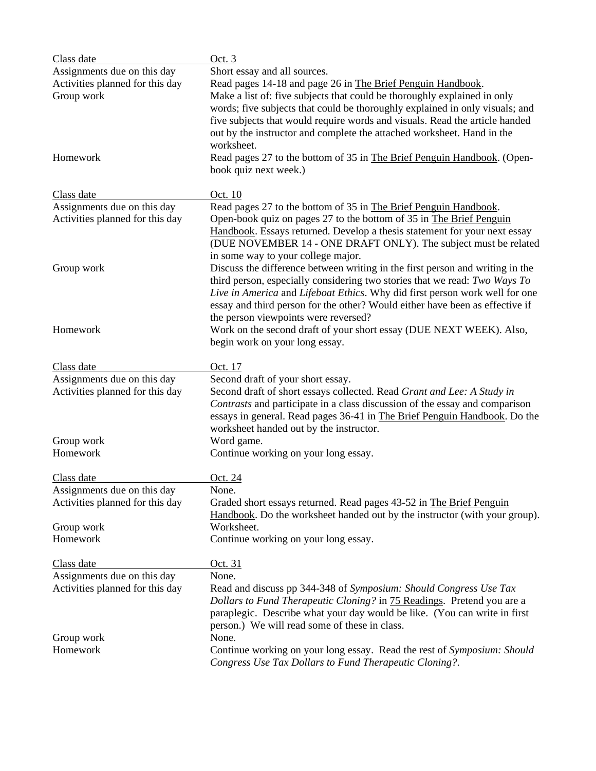| Class date                      | Oct. 3                                                                                                                                                      |
|---------------------------------|-------------------------------------------------------------------------------------------------------------------------------------------------------------|
| Assignments due on this day     | Short essay and all sources.                                                                                                                                |
| Activities planned for this day | Read pages 14-18 and page 26 in The Brief Penguin Handbook.                                                                                                 |
| Group work                      | Make a list of: five subjects that could be thoroughly explained in only                                                                                    |
|                                 | words; five subjects that could be thoroughly explained in only visuals; and                                                                                |
|                                 | five subjects that would require words and visuals. Read the article handed                                                                                 |
|                                 | out by the instructor and complete the attached worksheet. Hand in the                                                                                      |
|                                 | worksheet.                                                                                                                                                  |
| Homework                        | Read pages 27 to the bottom of 35 in The Brief Penguin Handbook. (Open-                                                                                     |
|                                 | book quiz next week.)                                                                                                                                       |
|                                 |                                                                                                                                                             |
| Class date                      | Oct. 10                                                                                                                                                     |
| Assignments due on this day     | Read pages 27 to the bottom of 35 in The Brief Penguin Handbook.                                                                                            |
| Activities planned for this day | Open-book quiz on pages 27 to the bottom of 35 in The Brief Penguin                                                                                         |
|                                 | Handbook. Essays returned. Develop a thesis statement for your next essay                                                                                   |
|                                 | (DUE NOVEMBER 14 - ONE DRAFT ONLY). The subject must be related                                                                                             |
|                                 | in some way to your college major.                                                                                                                          |
| Group work                      | Discuss the difference between writing in the first person and writing in the<br>third person, especially considering two stories that we read: Two Ways To |
|                                 | Live in America and Lifeboat Ethics. Why did first person work well for one                                                                                 |
|                                 | essay and third person for the other? Would either have been as effective if                                                                                |
|                                 | the person viewpoints were reversed?                                                                                                                        |
| Homework                        | Work on the second draft of your short essay (DUE NEXT WEEK). Also,                                                                                         |
|                                 | begin work on your long essay.                                                                                                                              |
|                                 |                                                                                                                                                             |
| Class date                      | Oct. 17                                                                                                                                                     |
| Assignments due on this day     | Second draft of your short essay.                                                                                                                           |
| Activities planned for this day | Second draft of short essays collected. Read Grant and Lee: A Study in                                                                                      |
|                                 | Contrasts and participate in a class discussion of the essay and comparison                                                                                 |
|                                 | essays in general. Read pages 36-41 in The Brief Penguin Handbook. Do the                                                                                   |
|                                 | worksheet handed out by the instructor.                                                                                                                     |
| Group work                      | Word game.                                                                                                                                                  |
| Homework                        | Continue working on your long essay.                                                                                                                        |
| Class date                      | <u>Oct. 24</u>                                                                                                                                              |
| Assignments due on this day     | None.                                                                                                                                                       |
| Activities planned for this day | Graded short essays returned. Read pages 43-52 in The Brief Penguin                                                                                         |
|                                 | Handbook. Do the worksheet handed out by the instructor (with your group).                                                                                  |
| Group work                      | Worksheet.                                                                                                                                                  |
| Homework                        | Continue working on your long essay.                                                                                                                        |
|                                 |                                                                                                                                                             |
| Class date                      | <u>Oct. 31</u>                                                                                                                                              |
| Assignments due on this day     | None.                                                                                                                                                       |
| Activities planned for this day | Read and discuss pp 344-348 of Symposium: Should Congress Use Tax                                                                                           |
|                                 | Dollars to Fund Therapeutic Cloning? in <b>75 Readings</b> . Pretend you are a                                                                              |
|                                 | paraplegic. Describe what your day would be like. (You can write in first                                                                                   |
|                                 | person.) We will read some of these in class.<br>None.                                                                                                      |
| Group work<br>Homework          |                                                                                                                                                             |
|                                 | Continue working on your long essay. Read the rest of Symposium: Should                                                                                     |
|                                 | Congress Use Tax Dollars to Fund Therapeutic Cloning?.                                                                                                      |